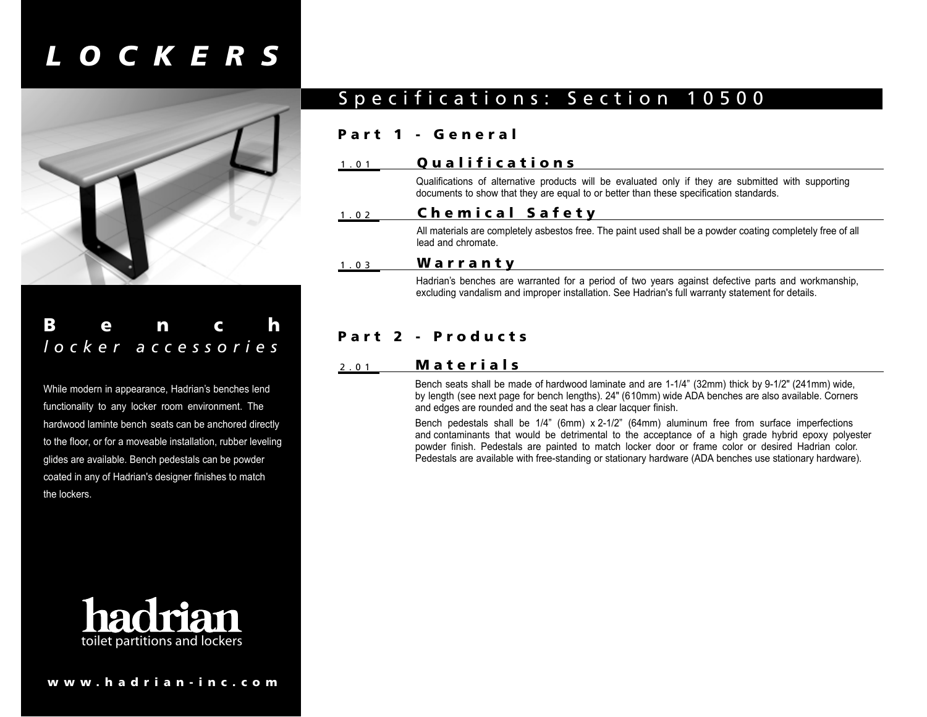# *LOCKERS*



# Bench *locker accessories*

While modern in appearance, Hadrian's benches lend functionality to any locker room environment. The hardwood laminte bench seats can be anchored directly to the floor, or for a moveable installation, rubber leveling glides are available. Bench pedestals can be powder coated in any of Hadrian's designer finishes to match the lockers.



#### 1.01 Qualifications

Qualifications of alternative products will be evaluated only if they are submitted with supporting documents to show that they are equal to or better than these specification standards.

Specifications: Section 10500

### 1.02 Chemical Safety

All materials are completely asbestos free. The paint used shall be a powder coating completely free of all lead and chromate.

### 1.03 Warranty

Part 1 - General

Hadrian's benches are warranted for a period of two years against defective parts and workmanship, excluding vandalism and improper installation. See Hadrian's full warranty statement for details.

## Part 2 - Products

### 2.01 Materials

Bench seats shall be made of hardwood laminate and are 1-1/4" (32mm) thick by 9-1/2" (241mm) wide, by length (see next page for bench lengths). 24" (610mm) wide ADA benches are also available. Corners and edges are rounded and the seat has a clear lacquer finish.

Bench pedestals shall be 1/4" (6mm) x 2-1/2" (64mm) aluminum free from surface imperfections and contaminants that would be detrimental to the acceptance of a high grade hybrid epoxy polyester powder finish. Pedestals are painted to match locker door or frame color or desired Hadrian color. Pedestals are available with free-standing or stationary hardware (ADA benches use stationary hardware).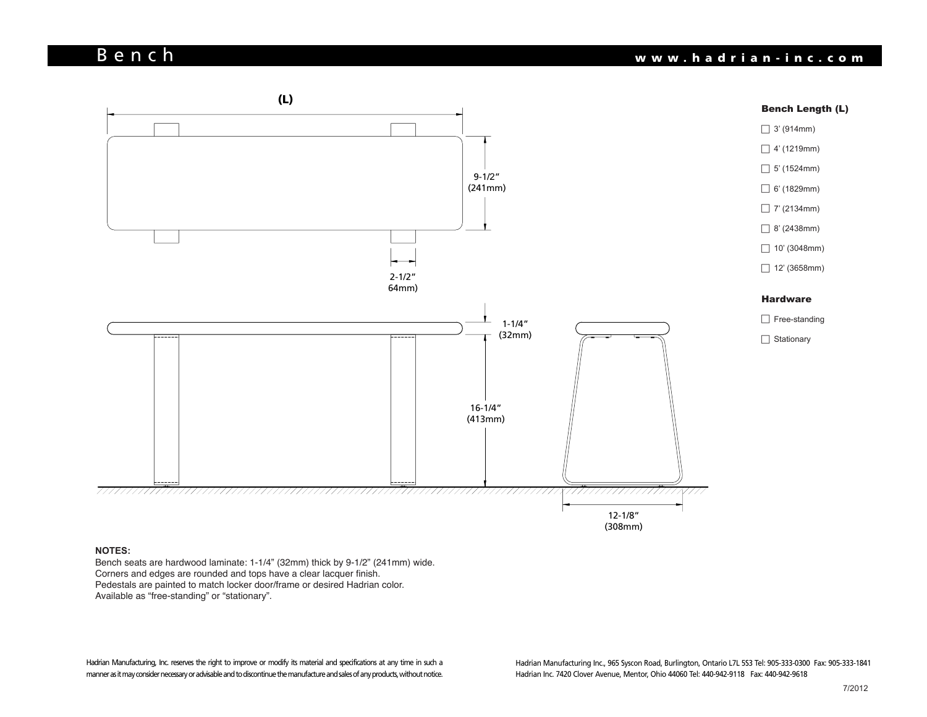# Bench www.hadrian-inc.com



#### **NOTES:**

NOTES:<br>Bench seats are hardwood laminate: 1-1/4" (32mm) thick by 9-1/2" (241mm) wide. Corners and edges are rounded and tops have a clear lacquer finish. Corners and edges are rounded and tops have a clear lacquer finish. Pedestals are painted to match locker door/frame or desired Hadrian color. Available as "free-standing" or "stationary".

Hadrian Manufacturing, Inc. reserves the right to improve or modify its material and specifications at any time in such a manner as it may consider necessary or advisable and to discontinue the manufacture and sales of any products, without notice.

 8/2003 Hadrian Inc. 7420 Clover Avenue, Mentor, Ohio 44060 Tel: 440-942-9118 Fax: 440-942-9618 Hadrian Manufacturing Inc., 965 Syscon Road, Burlington, Ontario L7L 5S3 Tel: 905-333-0300 Fax: 905-333-1841